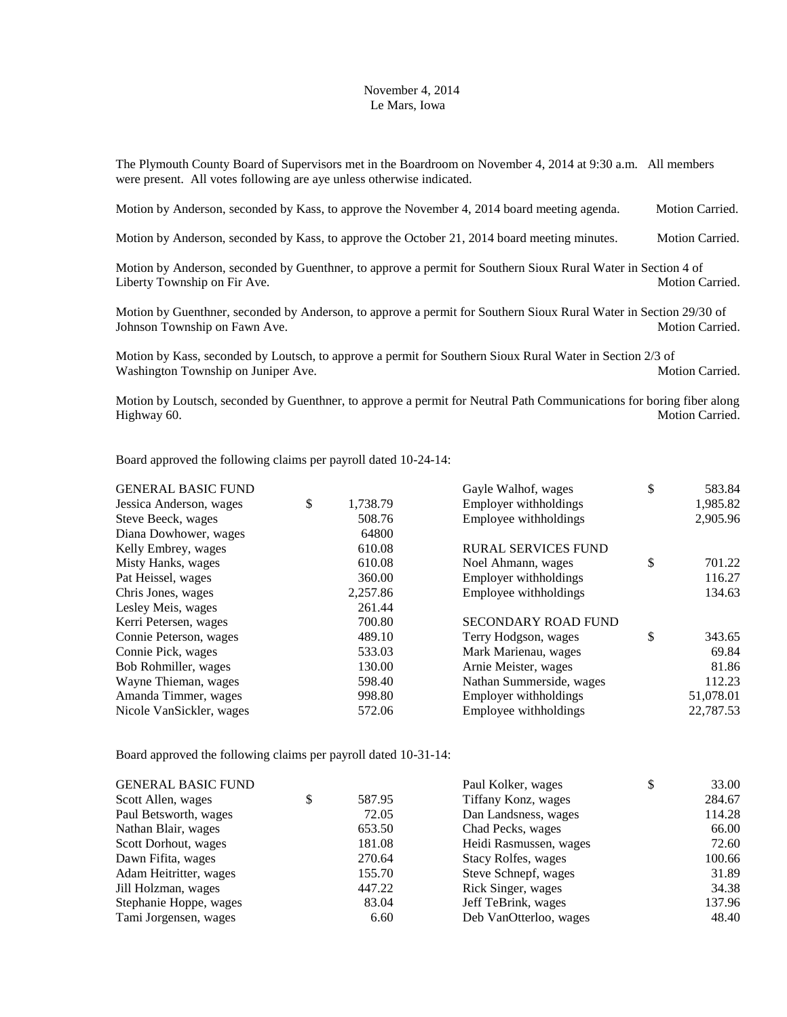## November 4, 2014 Le Mars, Iowa

The Plymouth County Board of Supervisors met in the Boardroom on November 4, 2014 at 9:30 a.m. All members were present. All votes following are aye unless otherwise indicated.

Motion by Anderson, seconded by Kass, to approve the November 4, 2014 board meeting agenda. Motion Carried.

Motion by Anderson, seconded by Kass, to approve the October 21, 2014 board meeting minutes. Motion Carried.

Motion by Anderson, seconded by Guenthner, to approve a permit for Southern Sioux Rural Water in Section 4 of Liberty Township on Fir Ave. **Motion Carried.** Motion Carried.

Motion by Guenthner, seconded by Anderson, to approve a permit for Southern Sioux Rural Water in Section 29/30 of Johnson Township on Fawn Ave. The contract of the contract of the Motion Carried.

Motion by Kass, seconded by Loutsch, to approve a permit for Southern Sioux Rural Water in Section 2/3 of Washington Township on Juniper Ave. **Motion Carried.** Motion Carried.

Motion by Loutsch, seconded by Guenthner, to approve a permit for Neutral Path Communications for boring fiber along Highway 60. Motion Carried. The Motion Carried.

Board approved the following claims per payroll dated 10-24-14:

| <b>GENERAL BASIC FUND</b> |                | Gayle Walhof, wages        | \$<br>583.84 |
|---------------------------|----------------|----------------------------|--------------|
| Jessica Anderson, wages   | \$<br>1,738.79 | Employer withholdings      | 1,985.82     |
| Steve Beeck, wages        | 508.76         | Employee withholdings      | 2,905.96     |
| Diana Dowhower, wages     | 64800          |                            |              |
| Kelly Embrey, wages       | 610.08         | <b>RURAL SERVICES FUND</b> |              |
| Misty Hanks, wages        | 610.08         | Noel Ahmann, wages         | \$<br>701.22 |
| Pat Heissel, wages        | 360.00         | Employer withholdings      | 116.27       |
| Chris Jones, wages        | 2,257.86       | Employee withholdings      | 134.63       |
| Lesley Meis, wages        | 261.44         |                            |              |
| Kerri Petersen, wages     | 700.80         | <b>SECONDARY ROAD FUND</b> |              |
| Connie Peterson, wages    | 489.10         | Terry Hodgson, wages       | \$<br>343.65 |
| Connie Pick, wages        | 533.03         | Mark Marienau, wages       | 69.84        |
| Bob Rohmiller, wages      | 130.00         | Arnie Meister, wages       | 81.86        |
| Wayne Thieman, wages      | 598.40         | Nathan Summerside, wages   | 112.23       |
| Amanda Timmer, wages      | 998.80         | Employer withholdings      | 51,078.01    |
| Nicole VanSickler, wages  | 572.06         | Employee withholdings      | 22,787.53    |
|                           |                |                            |              |

Board approved the following claims per payroll dated 10-31-14:

| <b>GENERAL BASIC FUND</b> |              | Paul Kolker, wages     | \$<br>33.00 |
|---------------------------|--------------|------------------------|-------------|
| Scott Allen, wages        | \$<br>587.95 | Tiffany Konz, wages    | 284.67      |
| Paul Betsworth, wages     | 72.05        | Dan Landsness, wages   | 114.28      |
| Nathan Blair, wages       | 653.50       | Chad Pecks, wages      | 66.00       |
| Scott Dorhout, wages      | 181.08       | Heidi Rasmussen, wages | 72.60       |
| Dawn Fifita, wages        | 270.64       | Stacy Rolfes, wages    | 100.66      |
| Adam Heitritter, wages    | 155.70       | Steve Schnepf, wages   | 31.89       |
| Jill Holzman, wages       | 447.22       | Rick Singer, wages     | 34.38       |
| Stephanie Hoppe, wages    | 83.04        | Jeff TeBrink, wages    | 137.96      |
| Tami Jorgensen, wages     | 6.60         | Deb VanOtterloo, wages | 48.40       |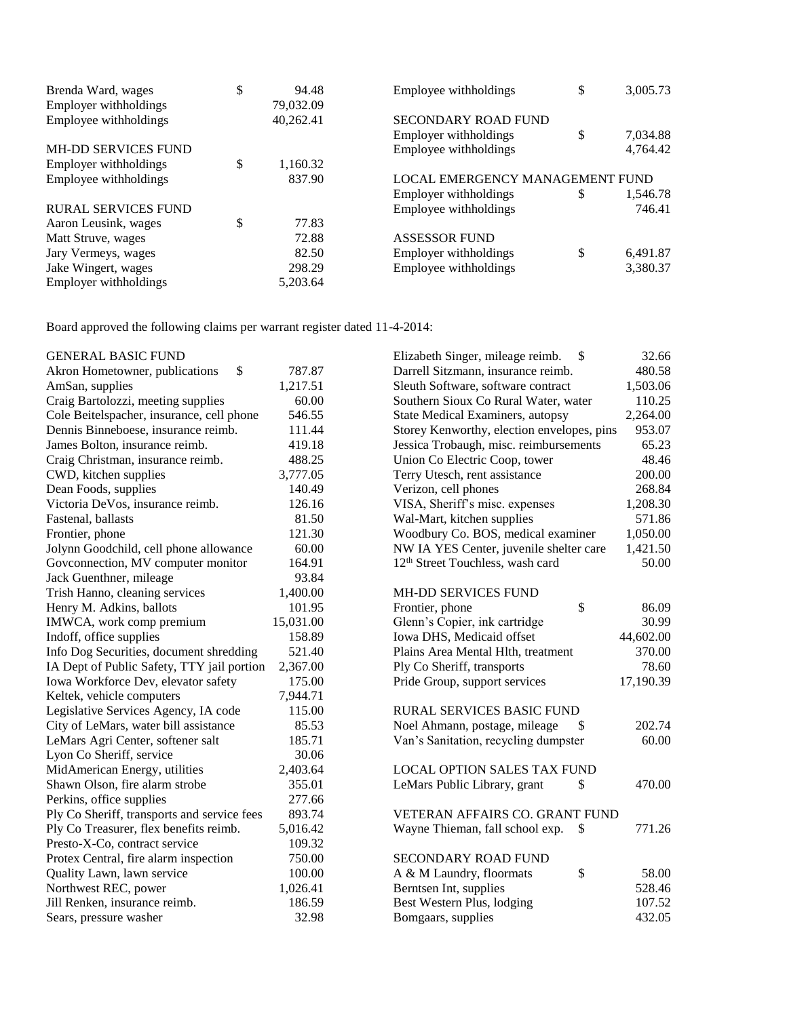| Brenda Ward, wages         | \$<br>94.48    | Employee withholdings           | \$<br>3,005.73 |
|----------------------------|----------------|---------------------------------|----------------|
| Employer withholdings      | 79,032.09      |                                 |                |
| Employee withholdings      | 40,262.41      | SECONDARY ROAD FUND             |                |
|                            |                | Employer withholdings           | \$<br>7,034.88 |
| <b>MH-DD SERVICES FUND</b> |                | Employee withholdings           | 4,764.42       |
| Employer withholdings      | \$<br>1,160.32 |                                 |                |
| Employee withholdings      | 837.90         | LOCAL EMERGENCY MANAGEMENT FUND |                |
|                            |                | Employer withholdings           | \$<br>1,546.78 |
| <b>RURAL SERVICES FUND</b> |                | Employee withholdings           | 746.41         |
| Aaron Leusink, wages       | \$<br>77.83    |                                 |                |
| Matt Struve, wages         | 72.88          | <b>ASSESSOR FUND</b>            |                |
| Jary Vermeys, wages        | 82.50          | Employer withholdings           | \$<br>6,491.87 |
| Jake Wingert, wages        | 298.29         | Employee withholdings           | 3,380.37       |
| Employer withholdings      | 5,203.64       |                                 |                |

Board approved the following claims per warrant register dated 11-4-2014:

| <b>GENERAL BASIC FUND</b> |  |
|---------------------------|--|
|                           |  |

| <b>GENERAL BASIC FUND</b>                   |           | Elizabeth Singer, mileage reimb.<br>\$       | 32.66     |
|---------------------------------------------|-----------|----------------------------------------------|-----------|
| \$<br>Akron Hometowner, publications        | 787.87    | Darrell Sitzmann, insurance reimb.           | 480.58    |
| AmSan, supplies                             | 1,217.51  | Sleuth Software, software contract           | 1,503.06  |
| Craig Bartolozzi, meeting supplies          | 60.00     | Southern Sioux Co Rural Water, water         | 110.25    |
| Cole Beitelspacher, insurance, cell phone   | 546.55    | State Medical Examiners, autopsy             | 2,264.00  |
| Dennis Binneboese, insurance reimb.         | 111.44    | Storey Kenworthy, election envelopes, pins   | 953.07    |
| James Bolton, insurance reimb.              | 419.18    | Jessica Trobaugh, misc. reimbursements       | 65.23     |
| Craig Christman, insurance reimb.           | 488.25    | Union Co Electric Coop, tower                | 48.46     |
| CWD, kitchen supplies                       | 3,777.05  | Terry Utesch, rent assistance                | 200.00    |
| Dean Foods, supplies                        | 140.49    | Verizon, cell phones                         | 268.84    |
| Victoria DeVos, insurance reimb.            | 126.16    | VISA, Sheriff's misc. expenses               | 1,208.30  |
| Fastenal, ballasts                          | 81.50     | Wal-Mart, kitchen supplies                   | 571.86    |
| Frontier, phone                             | 121.30    | Woodbury Co. BOS, medical examiner           | 1,050.00  |
| Jolynn Goodchild, cell phone allowance      | 60.00     | NW IA YES Center, juvenile shelter care      | 1,421.50  |
| Govconnection, MV computer monitor          | 164.91    | 12 <sup>th</sup> Street Touchless, wash card | 50.00     |
| Jack Guenthner, mileage                     | 93.84     |                                              |           |
| Trish Hanno, cleaning services              | 1,400.00  | MH-DD SERVICES FUND                          |           |
| Henry M. Adkins, ballots                    | 101.95    | \$<br>Frontier, phone                        | 86.09     |
| IMWCA, work comp premium                    | 15,031.00 | Glenn's Copier, ink cartridge                | 30.99     |
| Indoff, office supplies                     | 158.89    | Iowa DHS, Medicaid offset                    | 44,602.00 |
| Info Dog Securities, document shredding     | 521.40    | Plains Area Mental Hlth, treatment           | 370.00    |
| IA Dept of Public Safety, TTY jail portion  | 2,367.00  | Ply Co Sheriff, transports                   | 78.60     |
| Iowa Workforce Dev, elevator safety         | 175.00    | Pride Group, support services                | 17,190.39 |
| Keltek, vehicle computers                   | 7,944.71  |                                              |           |
| Legislative Services Agency, IA code        | 115.00    | <b>RURAL SERVICES BASIC FUND</b>             |           |
| City of LeMars, water bill assistance       | 85.53     | Noel Ahmann, postage, mileage<br>\$          | 202.74    |
| LeMars Agri Center, softener salt           | 185.71    | Van's Sanitation, recycling dumpster         | 60.00     |
| Lyon Co Sheriff, service                    | 30.06     |                                              |           |
| MidAmerican Energy, utilities               | 2,403.64  | <b>LOCAL OPTION SALES TAX FUND</b>           |           |
| Shawn Olson, fire alarm strobe              | 355.01    | LeMars Public Library, grant<br>\$           | 470.00    |
| Perkins, office supplies                    | 277.66    |                                              |           |
| Ply Co Sheriff, transports and service fees | 893.74    | VETERAN AFFAIRS CO. GRANT FUND               |           |
| Ply Co Treasurer, flex benefits reimb.      | 5,016.42  | Wayne Thieman, fall school exp.<br>\$        | 771.26    |
| Presto-X-Co, contract service               | 109.32    |                                              |           |
| Protex Central, fire alarm inspection       | 750.00    | <b>SECONDARY ROAD FUND</b>                   |           |
| Quality Lawn, lawn service                  | 100.00    | \$<br>A & M Laundry, floormats               | 58.00     |
| Northwest REC, power                        | 1,026.41  | Berntsen Int, supplies                       | 528.46    |
| Jill Renken, insurance reimb.               | 186.59    | Best Western Plus, lodging                   | 107.52    |
| Sears, pressure washer                      | 32.98     | Bomgaars, supplies                           | 432.05    |
|                                             |           |                                              |           |